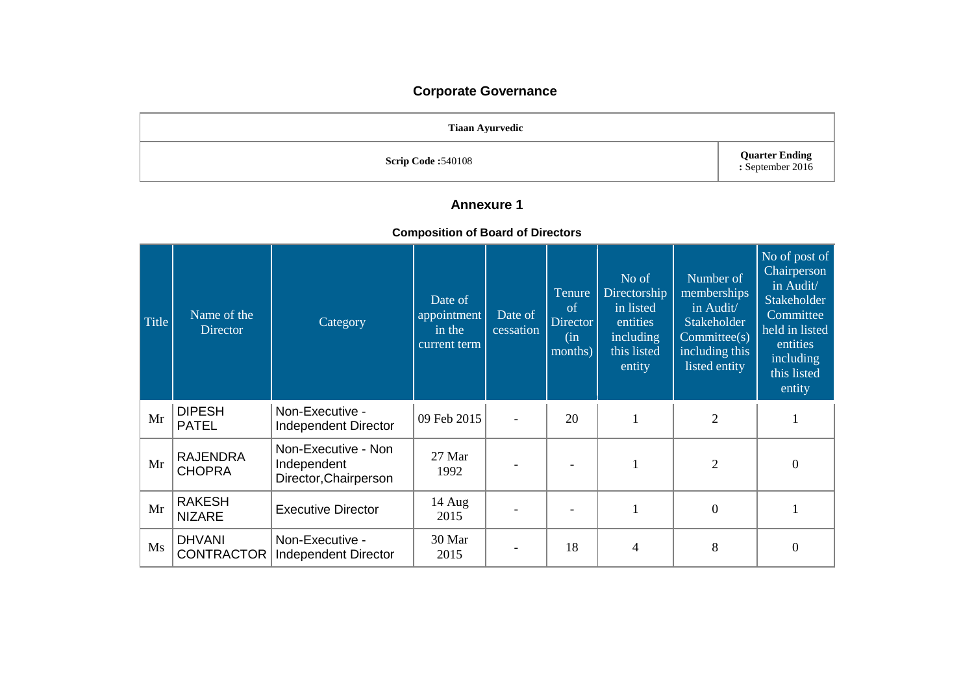# **Corporate Governance**

| <b>Tiaan Ayurvedic</b>    |                                           |
|---------------------------|-------------------------------------------|
| <b>Scrip Code: 540108</b> | <b>Quarter Ending</b><br>: September 2016 |

## **Annexure 1**

### **Composition of Board of Directors**

| Title | Name of the<br><b>Director</b>     | Category                                                    | Date of<br>appointment<br>in the<br>current term | Date of<br>cessation | Tenure<br>of<br><b>Director</b><br>(in<br>months) | No of<br>Directorship<br>in listed<br>entities<br>including<br>this listed<br>entity | Number of<br>memberships<br>in Audit/<br>Stakeholder<br>Committee(s)<br>including this<br>listed entity | No of post of<br>Chairperson<br>in Audit/<br>Stakeholder<br>Committee<br>held in listed<br>entities<br>including<br>this listed<br>entity |
|-------|------------------------------------|-------------------------------------------------------------|--------------------------------------------------|----------------------|---------------------------------------------------|--------------------------------------------------------------------------------------|---------------------------------------------------------------------------------------------------------|-------------------------------------------------------------------------------------------------------------------------------------------|
| Mr    | <b>DIPESH</b><br><b>PATEL</b>      | Non-Executive -<br>Independent Director                     | 09 Feb 2015                                      |                      | 20                                                | 1                                                                                    | $\overline{2}$                                                                                          | 1                                                                                                                                         |
| Mr    | <b>RAJENDRA</b><br><b>CHOPRA</b>   | Non-Executive - Non<br>Independent<br>Director, Chairperson | 27 Mar<br>1992                                   |                      |                                                   |                                                                                      | 2                                                                                                       | $\boldsymbol{0}$                                                                                                                          |
| Mr    | <b>RAKESH</b><br><b>NIZARE</b>     | <b>Executive Director</b>                                   | 14 Aug<br>2015                                   |                      |                                                   |                                                                                      | $\overline{0}$                                                                                          |                                                                                                                                           |
| Ms    | <b>DHVANI</b><br><b>CONTRACTOR</b> | Non-Executive -<br>Independent Director                     | 30 Mar<br>2015                                   |                      | 18                                                | 4                                                                                    | 8                                                                                                       | $\overline{0}$                                                                                                                            |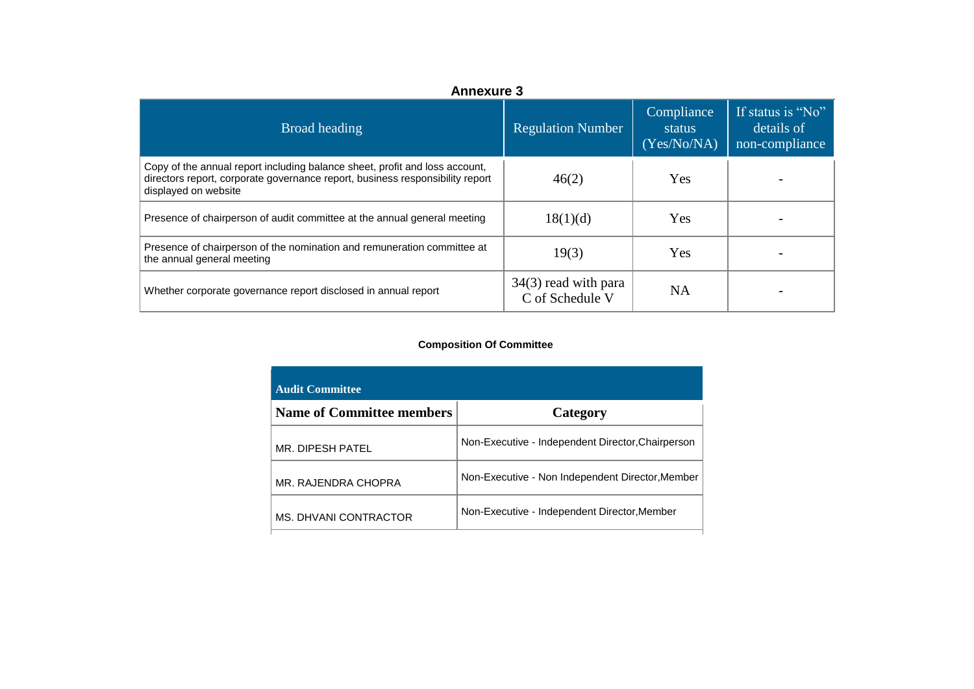| <b>Annexure 3</b>                                                                                                                                                                    |                                           |                                     |                                                   |  |
|--------------------------------------------------------------------------------------------------------------------------------------------------------------------------------------|-------------------------------------------|-------------------------------------|---------------------------------------------------|--|
| Broad heading                                                                                                                                                                        | <b>Regulation Number</b>                  | Compliance<br>status<br>(Yes/No/NA) | If status is "No"<br>details of<br>non-compliance |  |
| Copy of the annual report including balance sheet, profit and loss account,<br>directors report, corporate governance report, business responsibility report<br>displayed on website | 46(2)                                     | <b>Yes</b>                          |                                                   |  |
| Presence of chairperson of audit committee at the annual general meeting                                                                                                             | 18(1)(d)                                  | <b>Yes</b>                          |                                                   |  |
| Presence of chairperson of the nomination and remuneration committee at<br>the annual general meeting                                                                                | 19(3)                                     | Yes                                 |                                                   |  |
| Whether corporate governance report disclosed in annual report                                                                                                                       | $34(3)$ read with para<br>C of Schedule V | NA                                  |                                                   |  |

#### **Composition Of Committee**

| <b>Audit Committee</b>           |                                                   |
|----------------------------------|---------------------------------------------------|
| <b>Name of Committee members</b> | Category                                          |
| MR. DIPESH PATEL                 | Non-Executive - Independent Director, Chairperson |
| MR. RAJENDRA CHOPRA              | Non-Executive - Non Independent Director, Member  |
| MS. DHVANI CONTRACTOR            | Non-Executive - Independent Director, Member      |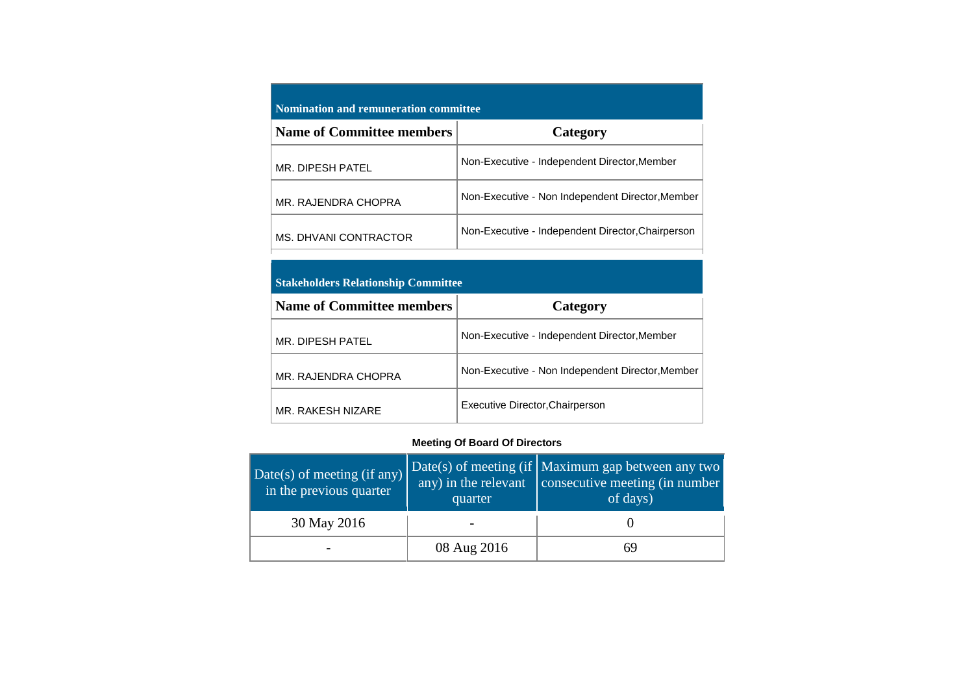| <b>Nomination and remuneration committee</b> |                                                   |  |  |  |
|----------------------------------------------|---------------------------------------------------|--|--|--|
| <b>Name of Committee members</b>             | Category                                          |  |  |  |
| MR. DIPESH PATEL                             | Non-Executive - Independent Director, Member      |  |  |  |
| MR. RAJENDRA CHOPRA                          | Non-Executive - Non Independent Director, Member  |  |  |  |
| MS. DHVANI CONTRACTOR                        | Non-Executive - Independent Director, Chairperson |  |  |  |

#### **Stakeholders Relationship Committee**

| <b>Name of Committee members</b> | Category                                         |
|----------------------------------|--------------------------------------------------|
| MR. DIPESH PATEL                 | Non-Executive - Independent Director, Member     |
| MR. RAJENDRA CHOPRA              | Non-Executive - Non Independent Director, Member |
| MR. RAKESH NIZARE                | Executive Director, Chairperson                  |

#### **Meeting Of Board Of Directors**

| Date( $s$ ) of meeting (if any)<br>in the previous quarter | quarter     | Date(s) of meeting (if   Maximum gap between any two<br>$\frac{1}{2}$ any) in the relevant consecutive meeting (in number<br>of days) |
|------------------------------------------------------------|-------------|---------------------------------------------------------------------------------------------------------------------------------------|
| 30 May 2016                                                |             |                                                                                                                                       |
|                                                            | 08 Aug 2016 | 69                                                                                                                                    |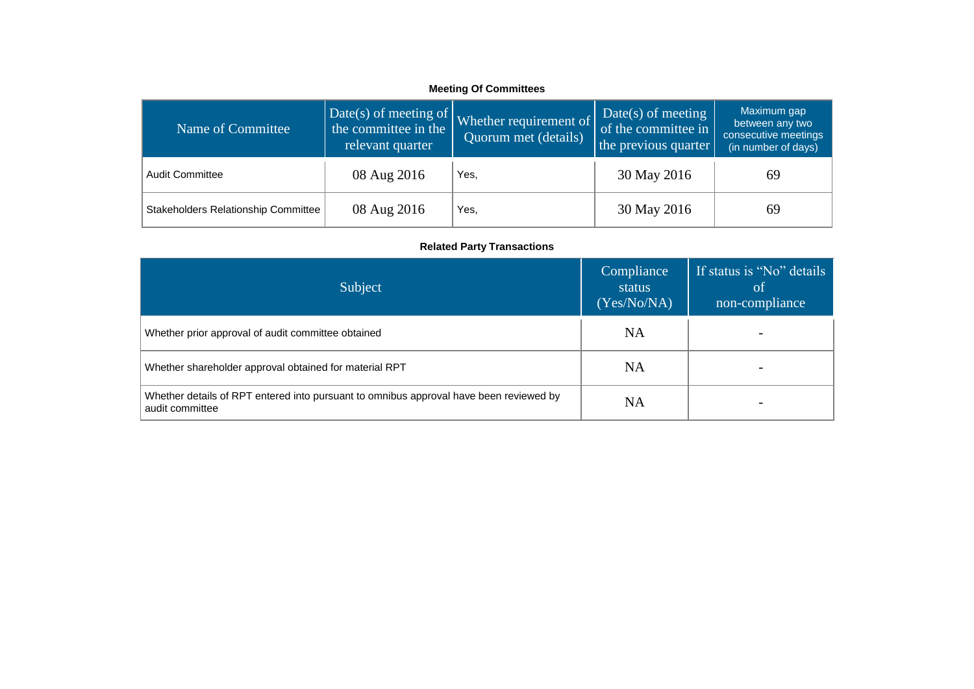#### **Meeting Of Committees**

| Name of Committee                   | Date(s) of meeting of $\vert$ ,<br>the committee in the<br>relevant quarter | Whether requirement of<br>Quorum met (details) | Date(s) of meeting<br>of the committee in<br>the previous quarter | Maximum gap<br>between any two<br>consecutive meetings<br>(in number of days) |
|-------------------------------------|-----------------------------------------------------------------------------|------------------------------------------------|-------------------------------------------------------------------|-------------------------------------------------------------------------------|
| <b>Audit Committee</b>              | 08 Aug 2016                                                                 | Yes,                                           | 30 May 2016                                                       | 69                                                                            |
| Stakeholders Relationship Committee | 08 Aug 2016                                                                 | Yes,                                           | 30 May 2016                                                       | 69                                                                            |

#### **Related Party Transactions**

| Subject                                                                                                   | Compliance<br>status<br>(Yes/No/NA) | If status is "No" details<br><sup>ot</sup><br>non-compliance |
|-----------------------------------------------------------------------------------------------------------|-------------------------------------|--------------------------------------------------------------|
| Whether prior approval of audit committee obtained                                                        | NA                                  |                                                              |
| Whether shareholder approval obtained for material RPT                                                    | <b>NA</b>                           |                                                              |
| Whether details of RPT entered into pursuant to omnibus approval have been reviewed by<br>audit committee | NA                                  |                                                              |